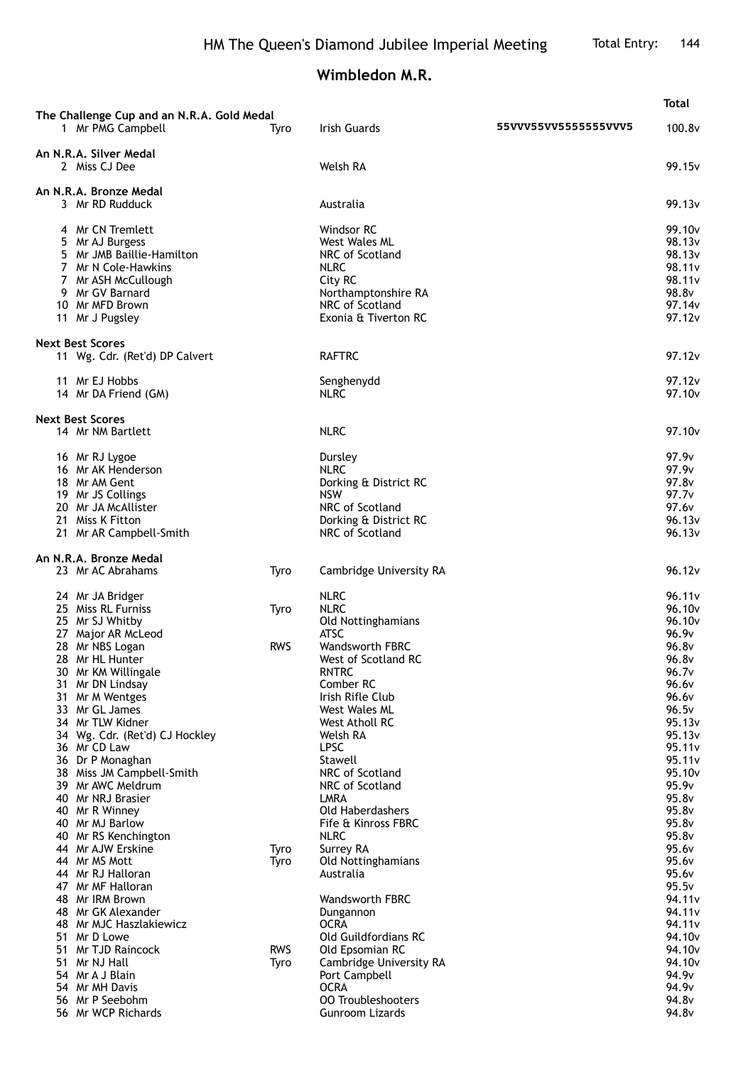## **Wimbledon M.R.**

|                                                                                                                                                                                                                                                                                                                                                                                                             |                            |                                                                                                                                                                                                                                                                                                                                        |                      | Total                                                                                                                                                                        |
|-------------------------------------------------------------------------------------------------------------------------------------------------------------------------------------------------------------------------------------------------------------------------------------------------------------------------------------------------------------------------------------------------------------|----------------------------|----------------------------------------------------------------------------------------------------------------------------------------------------------------------------------------------------------------------------------------------------------------------------------------------------------------------------------------|----------------------|------------------------------------------------------------------------------------------------------------------------------------------------------------------------------|
| The Challenge Cup and an N.R.A. Gold Medal<br>1 Mr PMG Campbell                                                                                                                                                                                                                                                                                                                                             | Tvro                       | <b>Irish Guards</b>                                                                                                                                                                                                                                                                                                                    | 55VVV55VV5555555VVV5 | 100.8v                                                                                                                                                                       |
| An N.R.A. Silver Medal<br>2 Miss CJ Dee                                                                                                                                                                                                                                                                                                                                                                     |                            | Welsh RA                                                                                                                                                                                                                                                                                                                               |                      | 99.15v                                                                                                                                                                       |
| An N.R.A. Bronze Medal<br>3 Mr RD Rudduck                                                                                                                                                                                                                                                                                                                                                                   |                            | Australia                                                                                                                                                                                                                                                                                                                              |                      | 99.13 <sub>v</sub>                                                                                                                                                           |
| 4 Mr CN Tremlett<br>5 Mr AJ Burgess<br>5 Mr JMB Baillie-Hamilton<br>7 Mr N Cole-Hawkins<br>7 Mr ASH McCullough<br>9 Mr GV Barnard<br>10 Mr MFD Brown<br>11 Mr J Pugsley                                                                                                                                                                                                                                     |                            | Windsor RC<br><b>West Wales ML</b><br>NRC of Scotland<br><b>NLRC</b><br>City RC<br>Northamptonshire RA<br>NRC of Scotland<br>Exonia & Tiverton RC                                                                                                                                                                                      |                      | 99.10 <sub>v</sub><br>98.13 <sub>v</sub><br>98.13v<br>98.11v<br>98.11v<br>98.8v<br>97.14v<br>97.12v                                                                          |
| <b>Next Best Scores</b><br>11 Wg. Cdr. (Ret'd) DP Calvert                                                                                                                                                                                                                                                                                                                                                   |                            | <b>RAFTRC</b>                                                                                                                                                                                                                                                                                                                          |                      | 97.12v                                                                                                                                                                       |
| 11 Mr EJ Hobbs<br>14 Mr DA Friend (GM)                                                                                                                                                                                                                                                                                                                                                                      |                            | Senghenydd<br><b>NLRC</b>                                                                                                                                                                                                                                                                                                              |                      | 97.12v<br>97.10 <sub>v</sub>                                                                                                                                                 |
| <b>Next Best Scores</b><br>14 Mr NM Bartlett                                                                                                                                                                                                                                                                                                                                                                |                            | <b>NLRC</b>                                                                                                                                                                                                                                                                                                                            |                      | 97.10 <sub>v</sub>                                                                                                                                                           |
| 16 Mr RJ Lygoe<br>16 Mr AK Henderson<br>18 Mr AM Gent<br>19 Mr JS Collings<br>20 Mr JA McAllister<br>21 Miss K Fitton<br>21 Mr AR Campbell-Smith                                                                                                                                                                                                                                                            |                            | Dursley<br><b>NLRC</b><br>Dorking & District RC<br><b>NSW</b><br>NRC of Scotland<br>Dorking & District RC<br>NRC of Scotland                                                                                                                                                                                                           |                      | 97.9v<br>97.9v<br>97.8v<br>97.7 <sub>v</sub><br>97.6v<br>96.13v<br>96.13v                                                                                                    |
| An N.R.A. Bronze Medal<br>23 Mr AC Abrahams                                                                                                                                                                                                                                                                                                                                                                 | Tyro                       | Cambridge University RA                                                                                                                                                                                                                                                                                                                |                      | 96.12v                                                                                                                                                                       |
| 24 Mr JA Bridger<br>25 Miss RL Furniss<br>25 Mr SJ Whitby<br>27 Major AR McLeod                                                                                                                                                                                                                                                                                                                             | Tyro                       | <b>NLRC</b><br><b>NLRC</b><br>Old Nottinghamians<br><b>ATSC</b>                                                                                                                                                                                                                                                                        |                      | 96.11v<br>96.10 <sub>v</sub><br>96.10v<br>96.9v                                                                                                                              |
| 28 Mr NBS Logan<br>28 Mr HL Hunter<br>30 Mr KM Willingale<br>31 Mr DN Lindsay<br>31 Mr M Wentges<br>33 Mr GL James<br>34 Mr TLW Kidner<br>34 Wg. Cdr. (Ret'd) CJ Hockley<br>36 Mr CD Law<br>36 Dr P Monaghan<br>38 Miss JM Campbell-Smith<br>39 Mr AWC Meldrum<br>40 Mr NRJ Brasier<br>40 Mr R Winney<br>40 Mr MJ Barlow<br>40 Mr RS Kenchington<br>44 Mr AJW Erskine<br>44 Mr MS Mott<br>44 Mr RJ Halloran | <b>RWS</b><br>Tyro<br>Tyro | <b>Wandsworth FBRC</b><br>West of Scotland RC<br><b>RNTRC</b><br>Comber RC<br>Irish Rifle Club<br>West Wales ML<br>West Atholl RC<br>Welsh RA<br><b>LPSC</b><br>Stawell<br>NRC of Scotland<br>NRC of Scotland<br><b>LMRA</b><br>Old Haberdashers<br>Fife & Kinross FBRC<br><b>NLRC</b><br>Surrey RA<br>Old Nottinghamians<br>Australia |                      | 96.8v<br>96.8v<br>96.7v<br>96.6v<br>96.6v<br>96.5v<br>95.13v<br>95.13v<br>95.11v<br>95.11v<br>95.10v<br>95.9v<br>95.8v<br>95.8v<br>95.8v<br>95.8v<br>95.6v<br>95.6v<br>95.6v |
| 47 Mr MF Halloran<br>48 Mr IRM Brown<br>48 Mr GK Alexander<br>48 Mr MJC Haszlakiewicz<br>51 Mr D Lowe<br>51 Mr TJD Raincock<br>51 Mr NJ Hall<br>54 Mr A J Blain<br>54 Mr MH Davis<br>56 Mr P Seebohm<br>56 Mr WCP Richards                                                                                                                                                                                  | <b>RWS</b><br>Tyro         | <b>Wandsworth FBRC</b><br>Dungannon<br><b>OCRA</b><br>Old Guildfordians RC<br>Old Epsomian RC<br>Cambridge University RA<br>Port Campbell<br><b>OCRA</b><br><b>00 Troubleshooters</b><br><b>Gunroom Lizards</b>                                                                                                                        |                      | 95.5v<br>94.11v<br>94.11 <sub>v</sub><br>94.11v<br>94.10v<br>94.10v<br>94.10v<br>94.9 <sub>v</sub><br>94.9v<br>94.8v<br>94.8v                                                |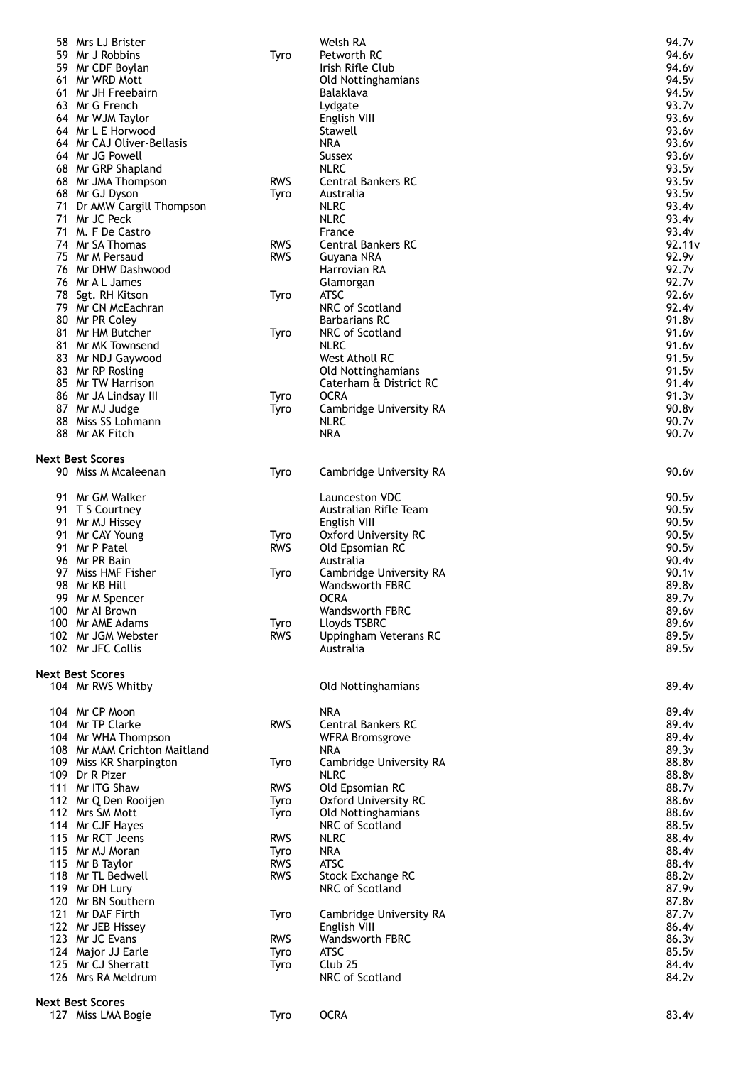| 58 | Mrs LJ Brister                               |            | Welsh RA                  | 94.7 <sub>v</sub> |
|----|----------------------------------------------|------------|---------------------------|-------------------|
|    | 59 Mr J Robbins                              | Tyro       | Petworth RC               | 94.6 <sub>v</sub> |
|    | 59 Mr CDF Boylan                             |            | Irish Rifle Club          | 94.6v             |
|    | 61 Mr WRD Mott                               |            | Old Nottinghamians        | 94.5 <sub>v</sub> |
|    | 61 Mr JH Freebairn                           |            | Balaklava                 | 94.5v             |
|    | 63 Mr G French                               |            | Lydgate                   | 93.7v             |
|    | 64 Mr WJM Taylor                             |            | English VIII              | 93.6v             |
|    | 64 Mr L E Horwood                            |            | Stawell<br><b>NRA</b>     | 93.6v             |
|    | 64 Mr CAJ Oliver-Bellasis<br>64 Mr JG Powell |            |                           | 93.6v<br>93.6v    |
|    |                                              |            | Sussex<br><b>NLRC</b>     |                   |
|    | 68 Mr GRP Shapland<br>68 Mr JMA Thompson     | <b>RWS</b> | <b>Central Bankers RC</b> | 93.5v<br>93.5v    |
|    | 68 Mr GJ Dyson                               |            | Australia                 | 93.5v             |
|    | 71 Dr AMW Cargill Thompson                   | Tyro       | <b>NLRC</b>               | 93.4v             |
|    | 71 Mr JC Peck                                |            | <b>NLRC</b>               | 93.4v             |
|    | 71 M. F De Castro                            |            | France                    | 93.4v             |
|    | 74 Mr SA Thomas                              | <b>RWS</b> | <b>Central Bankers RC</b> | 92.11v            |
|    | 75 Mr M Persaud                              | <b>RWS</b> | Guyana NRA                | 92.9v             |
|    | 76 Mr DHW Dashwood                           |            | Harrovian RA              | 92.7v             |
|    | 76 Mr A L James                              |            | Glamorgan                 | 92.7v             |
|    | 78 Sgt. RH Kitson                            | Tyro       | <b>ATSC</b>               | 92.6v             |
|    | 79 Mr CN McEachran                           |            | NRC of Scotland           | 92.4v             |
|    | 80 Mr PR Coley                               |            | <b>Barbarians RC</b>      | 91.8v             |
|    | 81 Mr HM Butcher                             | Tyro       | NRC of Scotland           | 91.6v             |
|    | 81 Mr MK Townsend                            |            | <b>NLRC</b>               | 91.6v             |
|    | 83 Mr NDJ Gaywood                            |            | West Atholl RC            | 91.5v             |
|    | 83 Mr RP Rosling                             |            | Old Nottinghamians        | 91.5v             |
|    | 85 Mr TW Harrison                            |            | Caterham & District RC    | 91.4v             |
|    | 86 Mr JA Lindsay III                         | Tyro       | <b>OCRA</b>               | 91.3v             |
|    | 87 Mr MJ Judge                               | Tyro       | Cambridge University RA   | 90.8v             |
|    | 88 Miss SS Lohmann                           |            | <b>NLRC</b>               | 90.7v             |
|    | 88 Mr AK Fitch                               |            | <b>NRA</b>                | 90.7v             |
|    |                                              |            |                           |                   |
|    | Next Best Scores                             |            |                           |                   |
|    | 90 Miss M Mcaleenan                          | Tyro       | Cambridge University RA   | 90.6v             |
|    |                                              |            |                           |                   |
|    | 91 Mr GM Walker                              |            | Launceston VDC            | 90.5v             |
|    | 91 T S Courtney                              |            | Australian Rifle Team     | 90.5v             |
|    | 91 Mr MJ Hissey                              |            | English VIII              | 90.5v             |
|    | 91 Mr CAY Young                              | Tyro       | Oxford University RC      | 90.5v             |
|    | 91 Mr P Patel                                | <b>RWS</b> | Old Epsomian RC           | 90.5v             |
|    | 96 Mr PR Bain                                |            | Australia                 | 90.4v             |
|    | 97 Miss HMF Fisher                           | Tyro       | Cambridge University RA   | 90.1v             |
|    | 98 Mr KB Hill                                |            | <b>Wandsworth FBRC</b>    | 89.8v             |
|    | 99 Mr M Spencer                              |            | <b>OCRA</b>               | 89.7 <sub>v</sub> |
|    | 100 Mr Al Brown                              |            | <b>Wandsworth FBRC</b>    | 89.6v             |
|    | 100 Mr AME Adams                             | Tyro       | Lloyds TSBRC              | 89.6v             |
|    | 102 Mr JGM Webster                           | <b>RWS</b> | Uppingham Veterans RC     | 89.5v             |
|    | 102 Mr JFC Collis                            |            | Australia                 | 89.5v             |
|    |                                              |            |                           |                   |
|    | <b>Next Best Scores</b>                      |            |                           |                   |
|    | 104 Mr RWS Whitby                            |            | Old Nottinghamians        | 89.4v             |
|    |                                              |            |                           |                   |
|    | 104 Mr CP Moon                               |            | <b>NRA</b>                | 89.4v             |
|    | 104 Mr TP Clarke                             | <b>RWS</b> | <b>Central Bankers RC</b> | 89.4v             |
|    | 104 Mr WHA Thompson                          |            | <b>WFRA Bromsgrove</b>    | 89.4v             |
|    | 108 Mr MAM Crichton Maitland                 |            | <b>NRA</b>                | 89.3v             |
|    | 109 Miss KR Sharpington                      | Tyro       | Cambridge University RA   | 88.8v             |
|    | 109 Dr R Pizer                               |            | <b>NLRC</b>               | 88.8v             |
|    | 111 Mr ITG Shaw                              | <b>RWS</b> | Old Epsomian RC           | 88.7v             |
|    | 112 Mr Q Den Rooijen                         | Tyro       | Oxford University RC      | 88.6v             |
|    | 112 Mrs SM Mott                              | Tyro       | Old Nottinghamians        | 88.6v             |
|    | 114 Mr CJF Hayes                             |            | NRC of Scotland           | 88.5v             |
|    | 115 Mr RCT Jeens                             | <b>RWS</b> | <b>NLRC</b>               | 88.4v             |
|    | 115 Mr MJ Moran                              | Tyro       | <b>NRA</b>                | 88.4v             |
|    | 115 Mr B Taylor                              | <b>RWS</b> | <b>ATSC</b>               | 88.4v             |
|    | 118 Mr TL Bedwell                            | <b>RWS</b> | Stock Exchange RC         | 88.2v             |
|    | 119 Mr DH Lury                               |            | NRC of Scotland           | 87.9v             |
|    | 120 Mr BN Southern                           |            |                           | 87.8v             |
|    | 121 Mr DAF Firth                             | Tyro       | Cambridge University RA   | 87.7v             |
|    | 122 Mr JEB Hissey                            |            | English VIII              | 86.4v             |
|    | 123 Mr JC Evans                              | <b>RWS</b> | <b>Wandsworth FBRC</b>    | 86.3v             |
|    | 124 Major JJ Earle                           | Tyro       | <b>ATSC</b>               | 85.5v             |
|    |                                              |            |                           |                   |
|    | 125 Mr CJ Sherratt                           | Tyro       | Club <sub>25</sub>        | 84.4v             |
|    | 126 Mrs RA Meldrum                           |            | NRC of Scotland           | 84.2v             |
|    |                                              |            |                           |                   |
|    | Next Best Scores<br>127 Miss LMA Bogie       | Tyro       | <b>OCRA</b>               | 83.4v             |